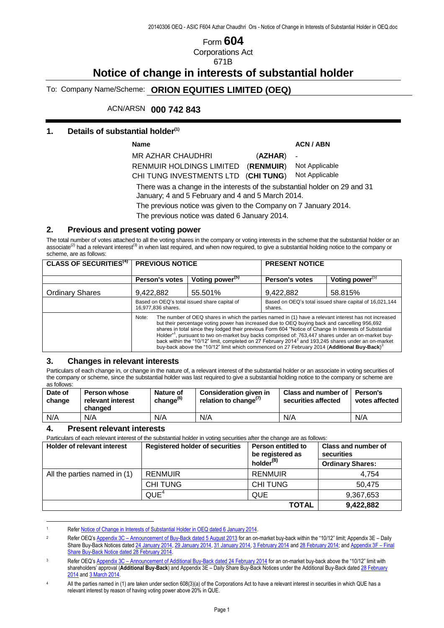# Form **604** Corporations Act

671B

## **Notice of change in interests of substantial holder**

To: Company Name/Scheme: **ORION EQUITIES LIMITED (OEQ)**

ACN/ARSN **000 742 843**

#### **1. Details of substantial holder(1)**

**Name ACN / ABN**

-

MR AZHAR CHAUDHRI (**AZHAR**) RENMUIR HOLDINGS LIMITED (**RENMUIR**) CHI TUNG INVESTMENTS LTD (**CHI TUNG**)

Not Applicable Not Applicable

There was a change in the interests of the substantial holder on 29 and 31 January; 4 and 5 February and 4 and 5 March 2014.

The previous notice was given to the Company on 7 January 2014.

The previous notice was dated 6 January 2014.

#### **2. Previous and present voting power**

The total number of votes attached to all the voting shares in the company or voting interests in the scheme that the substantial holder or an associate<sup>(2)</sup> had a relevant interest<sup>(3)</sup> in when last required, and when now required, to give a substantial holding notice to the company or scheme, are as follows:

| <b>CLASS OF SECURITIES<sup>(4)</sup></b> | <b>PREVIOUS NOTICE</b>                                                                                                                                                                                                                                                                                                                                                                                                                                                                                                                                                                                                                                                      |                             | <b>PRESENT NOTICE</b>                                              |                             |
|------------------------------------------|-----------------------------------------------------------------------------------------------------------------------------------------------------------------------------------------------------------------------------------------------------------------------------------------------------------------------------------------------------------------------------------------------------------------------------------------------------------------------------------------------------------------------------------------------------------------------------------------------------------------------------------------------------------------------------|-----------------------------|--------------------------------------------------------------------|-----------------------------|
|                                          | <b>Person's votes</b>                                                                                                                                                                                                                                                                                                                                                                                                                                                                                                                                                                                                                                                       | Voting power <sup>(5)</sup> | <b>Person's votes</b>                                              | Voting power <sup>(5)</sup> |
| <b>Ordinary Shares</b>                   | 9,422,882                                                                                                                                                                                                                                                                                                                                                                                                                                                                                                                                                                                                                                                                   | 55.501%                     | 9,422,882                                                          | 58.815%                     |
|                                          | Based on OEQ's total issued share capital of<br>16,977,836 shares.                                                                                                                                                                                                                                                                                                                                                                                                                                                                                                                                                                                                          |                             | Based on OEQ's total issued share capital of 16,021,144<br>shares. |                             |
|                                          | The number of OEQ shares in which the parties named in (1) have a relevant interest has not increased<br>Note:<br>but their percentage voting power has increased due to OEQ buying back and cancelling 956,692<br>shares in total since they lodged their previous Form 604 "Notice of Change In Interests of Substantial<br>Holder" <sup>1</sup> , pursuant to two on-market buy backs comprised of: 763,447 shares under an on-market buy-<br>back within the "10/12" limit, completed on 27 February 2014 <sup>2</sup> and 193,245 shares under an on-market<br>buy-back above the "10/12" limit which commenced on 27 February 2014 (Additional Buy-Back) <sup>3</sup> |                             |                                                                    |                             |

#### **3. Changes in relevant interests**

Particulars of each change in, or change in the nature of, a relevant interest of the substantial holder or an associate in voting securities of the company or scheme, since the substantial holder was last required to give a substantial holding notice to the company or scheme are as follows:

| Date of<br>change | <b>Person whose</b><br>relevant interest<br>changed | Nature of<br>change <sup>(6)</sup> | Consideration given in<br>relation to change <sup>(7)</sup> | Class and number of Person's<br>securities affected | votes affected |
|-------------------|-----------------------------------------------------|------------------------------------|-------------------------------------------------------------|-----------------------------------------------------|----------------|
| N/A               | N/A                                                 | N/A                                | N/A                                                         | N/A                                                 | N/A            |

#### **4. Present relevant interests**

 $\overline{a}$ 

Particulars of each relevant interest of the substantial holder in voting securities after the change are as follows:

| <b>Holder of relevant interest</b> | <b>Registered holder of securities</b><br><b>Person entitled to</b><br>be registered as |                 | <b>Class and number of</b><br>securities |
|------------------------------------|-----------------------------------------------------------------------------------------|-----------------|------------------------------------------|
|                                    |                                                                                         | holder $^{(8)}$ | <b>Ordinary Shares:</b>                  |
| All the parties named in (1)       | <b>RENMUIR</b>                                                                          | <b>RENMUIR</b>  | 4.754                                    |
|                                    | <b>CHITUNG</b>                                                                          | <b>CHI TUNG</b> | 50.475                                   |
|                                    | QUE <sup>4</sup>                                                                        | QUE             | 9,367,653                                |
|                                    |                                                                                         | <b>TOTAL</b>    | 9,422,882                                |

<sup>1</sup> Refer Notice of Change in Interests of Substantial Holder in OEQ dated 6 January 2014.

 $\overline{2}$  Refer OEQ's Appendix 3C – Announcement of Buy-Back dated 5 August 2013 for an on-market buy-back within the "10/12" limit; Appendix 3E – Daily Share Buy-Back Notices dated 24 January 2014, 29 January 2014, 31 January 2014, 3 February 2014 and 28 February 2014; and Appendix 3F – Final Share Buy-Back Notice dated 28 February 2014.

 $\overline{3}$  Refer OEQ's Appendix 3C – Announcement of Additional Buy-Back dated 24 February 2014 for an on-market buy-back above the "10/12" limit with shareholders' approval (**Additional Buy-Back**) and Appendix 3E – Daily Share Buy-Back Notices under the Additional Buy-Back dated 28 February 2014 and 3 March 2014.

<sup>4</sup> All the parties named in (1) are taken under section 608(3)(a) of the Corporations Act to have a relevant interest in securities in which QUE has a relevant interest by reason of having voting power above 20% in QUE.